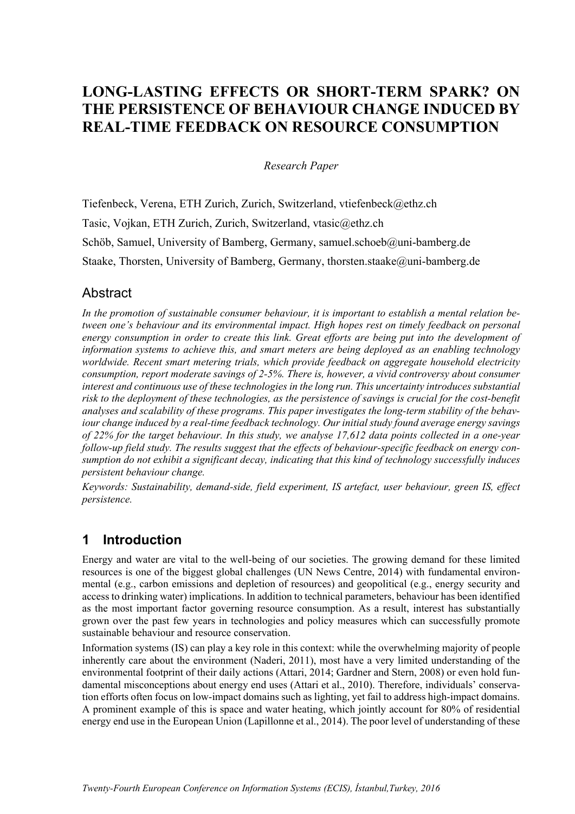# **LONG-LASTING EFFECTS OR SHORT-TERM SPARK? ON THE PERSISTENCE OF BEHAVIOUR CHANGE INDUCED BY REAL-TIME FEEDBACK ON RESOURCE CONSUMPTION**

*Research Paper* 

Tiefenbeck, Verena, ETH Zurich, Zurich, Switzerland, vtiefenbeck@ethz.ch Tasic, Vojkan, ETH Zurich, Zurich, Switzerland, vtasic@ethz.ch Schöb, Samuel, University of Bamberg, Germany, samuel.schoeb@uni-bamberg.de Staake, Thorsten, University of Bamberg, Germany, thorsten.staake@uni-bamberg.de

## **Abstract**

*In the promotion of sustainable consumer behaviour, it is important to establish a mental relation between one's behaviour and its environmental impact. High hopes rest on timely feedback on personal energy consumption in order to create this link. Great efforts are being put into the development of information systems to achieve this, and smart meters are being deployed as an enabling technology worldwide. Recent smart metering trials, which provide feedback on aggregate household electricity consumption, report moderate savings of 2-5%. There is, however, a vivid controversy about consumer interest and continuous use of these technologies in the long run. This uncertainty introduces substantial risk to the deployment of these technologies, as the persistence of savings is crucial for the cost-benefit analyses and scalability of these programs. This paper investigates the long-term stability of the behaviour change induced by a real-time feedback technology. Our initial study found average energy savings of 22% for the target behaviour. In this study, we analyse 17,612 data points collected in a one-year follow-up field study. The results suggest that the effects of behaviour-specific feedback on energy consumption do not exhibit a significant decay, indicating that this kind of technology successfully induces persistent behaviour change.* 

*Keywords: Sustainability, demand-side, field experiment, IS artefact, user behaviour, green IS, effect persistence.* 

## **1 Introduction**

Energy and water are vital to the well-being of our societies. The growing demand for these limited resources is one of the biggest global challenges (UN News Centre, 2014) with fundamental environmental (e.g., carbon emissions and depletion of resources) and geopolitical (e.g., energy security and access to drinking water) implications. In addition to technical parameters, behaviour has been identified as the most important factor governing resource consumption. As a result, interest has substantially grown over the past few years in technologies and policy measures which can successfully promote sustainable behaviour and resource conservation.

Information systems (IS) can play a key role in this context: while the overwhelming majority of people inherently care about the environment (Naderi, 2011), most have a very limited understanding of the environmental footprint of their daily actions (Attari, 2014; Gardner and Stern, 2008) or even hold fundamental misconceptions about energy end uses (Attari et al., 2010). Therefore, individuals' conservation efforts often focus on low-impact domains such as lighting, yet fail to address high-impact domains. A prominent example of this is space and water heating, which jointly account for 80% of residential energy end use in the European Union (Lapillonne et al., 2014). The poor level of understanding of these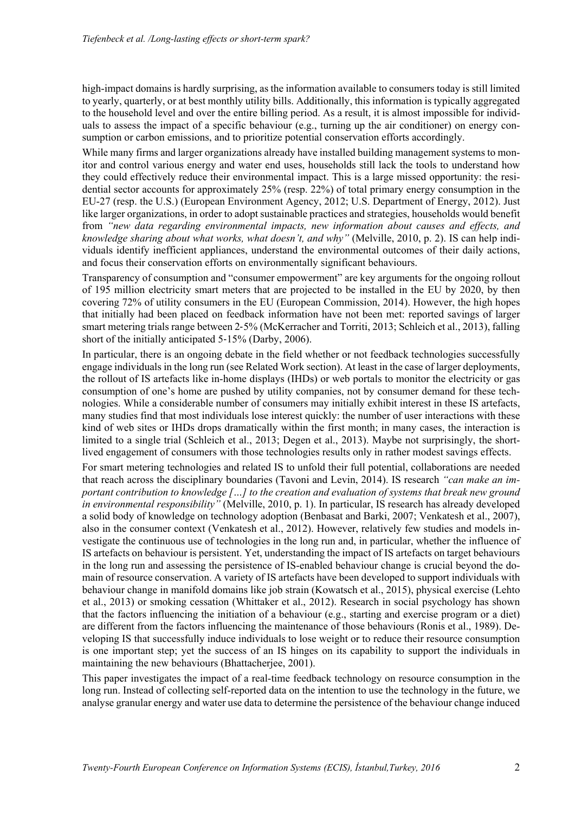high-impact domains is hardly surprising, as the information available to consumers today is still limited to yearly, quarterly, or at best monthly utility bills. Additionally, this information is typically aggregated to the household level and over the entire billing period. As a result, it is almost impossible for individuals to assess the impact of a specific behaviour (e.g., turning up the air conditioner) on energy consumption or carbon emissions, and to prioritize potential conservation efforts accordingly.

While many firms and larger organizations already have installed building management systems to monitor and control various energy and water end uses, households still lack the tools to understand how they could effectively reduce their environmental impact. This is a large missed opportunity: the residential sector accounts for approximately 25% (resp. 22%) of total primary energy consumption in the EU-27 (resp. the U.S.) (European Environment Agency, 2012; U.S. Department of Energy, 2012). Just like larger organizations, in order to adopt sustainable practices and strategies, households would benefit from *"new data regarding environmental impacts, new information about causes and effects, and knowledge sharing about what works, what doesn't, and why"* (Melville, 2010, p. 2). IS can help individuals identify inefficient appliances, understand the environmental outcomes of their daily actions, and focus their conservation efforts on environmentally significant behaviours.

Transparency of consumption and "consumer empowerment" are key arguments for the ongoing rollout of 195 million electricity smart meters that are projected to be installed in the EU by 2020, by then covering 72% of utility consumers in the EU (European Commission, 2014). However, the high hopes that initially had been placed on feedback information have not been met: reported savings of larger smart metering trials range between 2‐5% (McKerracher and Torriti, 2013; Schleich et al., 2013), falling short of the initially anticipated 5‐15% (Darby, 2006).

In particular, there is an ongoing debate in the field whether or not feedback technologies successfully engage individuals in the long run (see Related Work section). At least in the case of larger deployments, the rollout of IS artefacts like in-home displays (IHDs) or web portals to monitor the electricity or gas consumption of one's home are pushed by utility companies, not by consumer demand for these technologies. While a considerable number of consumers may initially exhibit interest in these IS artefacts, many studies find that most individuals lose interest quickly: the number of user interactions with these kind of web sites or IHDs drops dramatically within the first month; in many cases, the interaction is limited to a single trial (Schleich et al., 2013; Degen et al., 2013). Maybe not surprisingly, the shortlived engagement of consumers with those technologies results only in rather modest savings effects.

For smart metering technologies and related IS to unfold their full potential, collaborations are needed that reach across the disciplinary boundaries (Tavoni and Levin, 2014). IS research *"can make an important contribution to knowledge […] to the creation and evaluation of systems that break new ground in environmental responsibility"* (Melville, 2010, p. 1). In particular, IS research has already developed a solid body of knowledge on technology adoption (Benbasat and Barki, 2007; Venkatesh et al., 2007), also in the consumer context (Venkatesh et al., 2012). However, relatively few studies and models investigate the continuous use of technologies in the long run and, in particular, whether the influence of IS artefacts on behaviour is persistent. Yet, understanding the impact of IS artefacts on target behaviours in the long run and assessing the persistence of IS-enabled behaviour change is crucial beyond the domain of resource conservation. A variety of IS artefacts have been developed to support individuals with behaviour change in manifold domains like job strain (Kowatsch et al., 2015), physical exercise (Lehto et al., 2013) or smoking cessation (Whittaker et al., 2012). Research in social psychology has shown that the factors influencing the initiation of a behaviour (e.g., starting and exercise program or a diet) are different from the factors influencing the maintenance of those behaviours (Ronis et al., 1989). Developing IS that successfully induce individuals to lose weight or to reduce their resource consumption is one important step; yet the success of an IS hinges on its capability to support the individuals in maintaining the new behaviours (Bhattacherjee, 2001).

This paper investigates the impact of a real-time feedback technology on resource consumption in the long run. Instead of collecting self-reported data on the intention to use the technology in the future, we analyse granular energy and water use data to determine the persistence of the behaviour change induced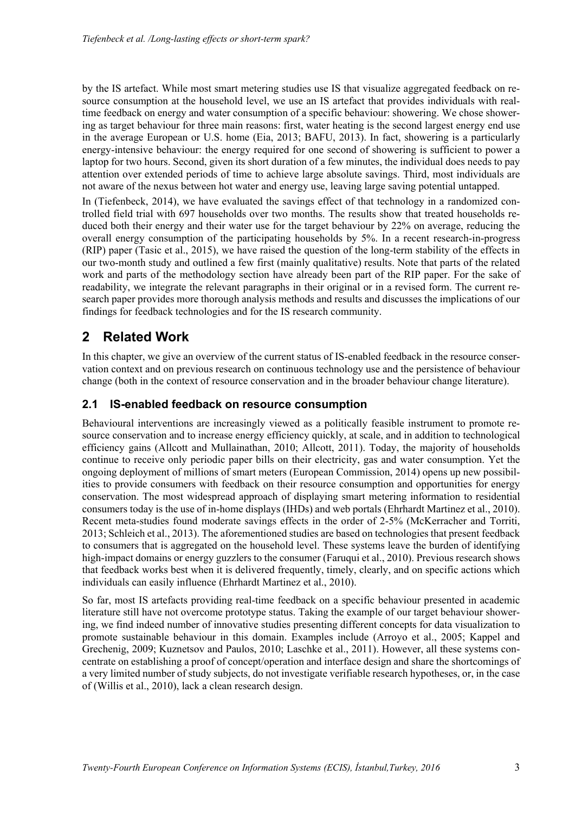by the IS artefact. While most smart metering studies use IS that visualize aggregated feedback on resource consumption at the household level, we use an IS artefact that provides individuals with realtime feedback on energy and water consumption of a specific behaviour: showering. We chose showering as target behaviour for three main reasons: first, water heating is the second largest energy end use in the average European or U.S. home (Eia, 2013; BAFU, 2013). In fact, showering is a particularly energy-intensive behaviour: the energy required for one second of showering is sufficient to power a laptop for two hours. Second, given its short duration of a few minutes, the individual does needs to pay attention over extended periods of time to achieve large absolute savings. Third, most individuals are not aware of the nexus between hot water and energy use, leaving large saving potential untapped.

In (Tiefenbeck, 2014), we have evaluated the savings effect of that technology in a randomized controlled field trial with 697 households over two months. The results show that treated households reduced both their energy and their water use for the target behaviour by 22% on average, reducing the overall energy consumption of the participating households by 5%. In a recent research-in-progress (RIP) paper (Tasic et al., 2015), we have raised the question of the long-term stability of the effects in our two-month study and outlined a few first (mainly qualitative) results. Note that parts of the related work and parts of the methodology section have already been part of the RIP paper. For the sake of readability, we integrate the relevant paragraphs in their original or in a revised form. The current research paper provides more thorough analysis methods and results and discusses the implications of our findings for feedback technologies and for the IS research community.

## **2 Related Work**

In this chapter, we give an overview of the current status of IS-enabled feedback in the resource conservation context and on previous research on continuous technology use and the persistence of behaviour change (both in the context of resource conservation and in the broader behaviour change literature).

### **2.1 IS-enabled feedback on resource consumption**

Behavioural interventions are increasingly viewed as a politically feasible instrument to promote resource conservation and to increase energy efficiency quickly, at scale, and in addition to technological efficiency gains (Allcott and Mullainathan, 2010; Allcott, 2011). Today, the majority of households continue to receive only periodic paper bills on their electricity, gas and water consumption. Yet the ongoing deployment of millions of smart meters (European Commission, 2014) opens up new possibilities to provide consumers with feedback on their resource consumption and opportunities for energy conservation. The most widespread approach of displaying smart metering information to residential consumers today is the use of in-home displays (IHDs) and web portals (Ehrhardt Martinez et al., 2010). Recent meta-studies found moderate savings effects in the order of 2-5% (McKerracher and Torriti, 2013; Schleich et al., 2013). The aforementioned studies are based on technologies that present feedback to consumers that is aggregated on the household level. These systems leave the burden of identifying high-impact domains or energy guzzlers to the consumer (Faruqui et al., 2010). Previous research shows that feedback works best when it is delivered frequently, timely, clearly, and on specific actions which individuals can easily influence (Ehrhardt Martinez et al., 2010).

So far, most IS artefacts providing real-time feedback on a specific behaviour presented in academic literature still have not overcome prototype status. Taking the example of our target behaviour showering, we find indeed number of innovative studies presenting different concepts for data visualization to promote sustainable behaviour in this domain. Examples include (Arroyo et al., 2005; Kappel and Grechenig, 2009; Kuznetsov and Paulos, 2010; Laschke et al., 2011). However, all these systems concentrate on establishing a proof of concept/operation and interface design and share the shortcomings of a very limited number of study subjects, do not investigate verifiable research hypotheses, or, in the case of (Willis et al., 2010), lack a clean research design.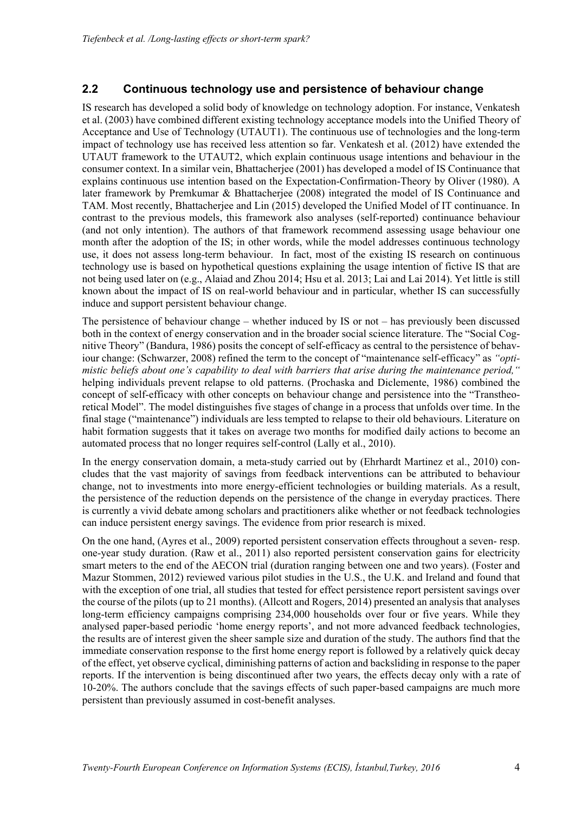### **2.2 Continuous technology use and persistence of behaviour change**

IS research has developed a solid body of knowledge on technology adoption. For instance, Venkatesh et al. (2003) have combined different existing technology acceptance models into the Unified Theory of Acceptance and Use of Technology (UTAUT1). The continuous use of technologies and the long-term impact of technology use has received less attention so far. Venkatesh et al. (2012) have extended the UTAUT framework to the UTAUT2, which explain continuous usage intentions and behaviour in the consumer context. In a similar vein, Bhattacherjee (2001) has developed a model of IS Continuance that explains continuous use intention based on the Expectation-Confirmation-Theory by Oliver (1980). A later framework by Premkumar & Bhattacherjee (2008) integrated the model of IS Continuance and TAM. Most recently, Bhattacherjee and Lin (2015) developed the Unified Model of IT continuance. In contrast to the previous models, this framework also analyses (self-reported) continuance behaviour (and not only intention). The authors of that framework recommend assessing usage behaviour one month after the adoption of the IS; in other words, while the model addresses continuous technology use, it does not assess long-term behaviour. In fact, most of the existing IS research on continuous technology use is based on hypothetical questions explaining the usage intention of fictive IS that are not being used later on (e.g., Alaiad and Zhou 2014; Hsu et al. 2013; Lai and Lai 2014). Yet little is still known about the impact of IS on real-world behaviour and in particular, whether IS can successfully induce and support persistent behaviour change.

The persistence of behaviour change – whether induced by IS or not – has previously been discussed both in the context of energy conservation and in the broader social science literature. The "Social Cognitive Theory" (Bandura, 1986) posits the concept of self-efficacy as central to the persistence of behaviour change: (Schwarzer, 2008) refined the term to the concept of "maintenance self-efficacy" as *"optimistic beliefs about one's capability to deal with barriers that arise during the maintenance period,"* helping individuals prevent relapse to old patterns. (Prochaska and Diclemente, 1986) combined the concept of self-efficacy with other concepts on behaviour change and persistence into the "Transtheoretical Model". The model distinguishes five stages of change in a process that unfolds over time. In the final stage ("maintenance") individuals are less tempted to relapse to their old behaviours. Literature on habit formation suggests that it takes on average two months for modified daily actions to become an automated process that no longer requires self-control (Lally et al., 2010).

In the energy conservation domain, a meta-study carried out by (Ehrhardt Martinez et al., 2010) concludes that the vast majority of savings from feedback interventions can be attributed to behaviour change, not to investments into more energy-efficient technologies or building materials. As a result, the persistence of the reduction depends on the persistence of the change in everyday practices. There is currently a vivid debate among scholars and practitioners alike whether or not feedback technologies can induce persistent energy savings. The evidence from prior research is mixed.

On the one hand, (Ayres et al., 2009) reported persistent conservation effects throughout a seven- resp. one-year study duration. (Raw et al., 2011) also reported persistent conservation gains for electricity smart meters to the end of the AECON trial (duration ranging between one and two years). (Foster and Mazur Stommen, 2012) reviewed various pilot studies in the U.S., the U.K. and Ireland and found that with the exception of one trial, all studies that tested for effect persistence report persistent savings over the course of the pilots (up to 21 months). (Allcott and Rogers, 2014) presented an analysis that analyses long-term efficiency campaigns comprising 234,000 households over four or five years. While they analysed paper-based periodic 'home energy reports', and not more advanced feedback technologies, the results are of interest given the sheer sample size and duration of the study. The authors find that the immediate conservation response to the first home energy report is followed by a relatively quick decay of the effect, yet observe cyclical, diminishing patterns of action and backsliding in response to the paper reports. If the intervention is being discontinued after two years, the effects decay only with a rate of 10-20%. The authors conclude that the savings effects of such paper-based campaigns are much more persistent than previously assumed in cost-benefit analyses.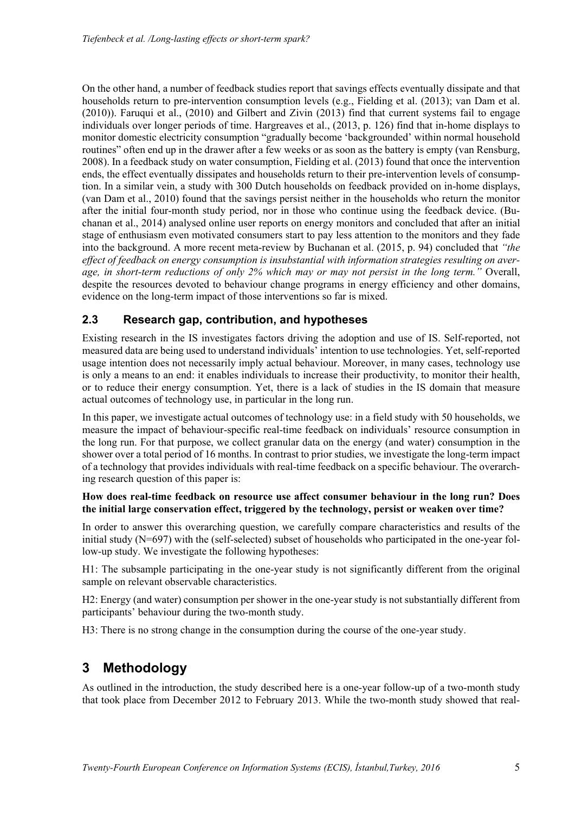On the other hand, a number of feedback studies report that savings effects eventually dissipate and that households return to pre-intervention consumption levels (e.g., Fielding et al. (2013); van Dam et al. (2010)). Faruqui et al., (2010) and Gilbert and Zivin (2013) find that current systems fail to engage individuals over longer periods of time. Hargreaves et al., (2013, p. 126) find that in-home displays to monitor domestic electricity consumption "gradually become 'backgrounded' within normal household routines" often end up in the drawer after a few weeks or as soon as the battery is empty (van Rensburg, 2008). In a feedback study on water consumption, Fielding et al. (2013) found that once the intervention ends, the effect eventually dissipates and households return to their pre-intervention levels of consumption. In a similar vein, a study with 300 Dutch households on feedback provided on in-home displays, (van Dam et al., 2010) found that the savings persist neither in the households who return the monitor after the initial four-month study period, nor in those who continue using the feedback device. (Buchanan et al., 2014) analysed online user reports on energy monitors and concluded that after an initial stage of enthusiasm even motivated consumers start to pay less attention to the monitors and they fade into the background. A more recent meta-review by Buchanan et al. (2015, p. 94) concluded that *"the effect of feedback on energy consumption is insubstantial with information strategies resulting on average, in short-term reductions of only 2% which may or may not persist in the long term."* Overall, despite the resources devoted to behaviour change programs in energy efficiency and other domains, evidence on the long-term impact of those interventions so far is mixed.

## **2.3 Research gap, contribution, and hypotheses**

Existing research in the IS investigates factors driving the adoption and use of IS. Self-reported, not measured data are being used to understand individuals' intention to use technologies. Yet, self-reported usage intention does not necessarily imply actual behaviour. Moreover, in many cases, technology use is only a means to an end: it enables individuals to increase their productivity, to monitor their health, or to reduce their energy consumption. Yet, there is a lack of studies in the IS domain that measure actual outcomes of technology use, in particular in the long run.

In this paper, we investigate actual outcomes of technology use: in a field study with 50 households, we measure the impact of behaviour-specific real-time feedback on individuals' resource consumption in the long run. For that purpose, we collect granular data on the energy (and water) consumption in the shower over a total period of 16 months. In contrast to prior studies, we investigate the long-term impact of a technology that provides individuals with real-time feedback on a specific behaviour. The overarching research question of this paper is:

#### **How does real-time feedback on resource use affect consumer behaviour in the long run? Does the initial large conservation effect, triggered by the technology, persist or weaken over time?**

In order to answer this overarching question, we carefully compare characteristics and results of the initial study (N=697) with the (self-selected) subset of households who participated in the one-year follow-up study. We investigate the following hypotheses:

H1: The subsample participating in the one-year study is not significantly different from the original sample on relevant observable characteristics.

H2: Energy (and water) consumption per shower in the one-year study is not substantially different from participants' behaviour during the two-month study.

H3: There is no strong change in the consumption during the course of the one-year study.

## **3 Methodology**

As outlined in the introduction, the study described here is a one-year follow-up of a two-month study that took place from December 2012 to February 2013. While the two-month study showed that real-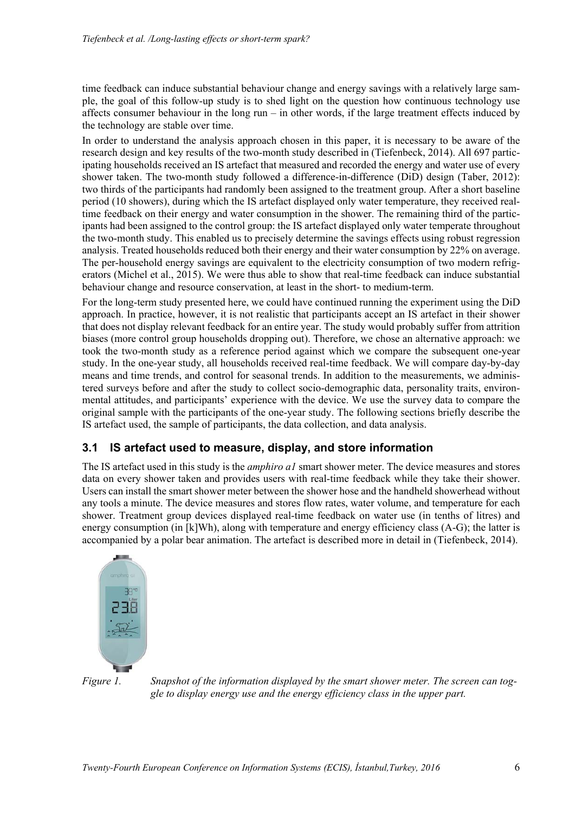time feedback can induce substantial behaviour change and energy savings with a relatively large sample, the goal of this follow-up study is to shed light on the question how continuous technology use affects consumer behaviour in the long run – in other words, if the large treatment effects induced by the technology are stable over time.

In order to understand the analysis approach chosen in this paper, it is necessary to be aware of the research design and key results of the two-month study described in (Tiefenbeck, 2014). All 697 participating households received an IS artefact that measured and recorded the energy and water use of every shower taken. The two-month study followed a difference-in-difference (DiD) design (Taber, 2012): two thirds of the participants had randomly been assigned to the treatment group. After a short baseline period (10 showers), during which the IS artefact displayed only water temperature, they received realtime feedback on their energy and water consumption in the shower. The remaining third of the participants had been assigned to the control group: the IS artefact displayed only water temperate throughout the two-month study. This enabled us to precisely determine the savings effects using robust regression analysis. Treated households reduced both their energy and their water consumption by 22% on average. The per-household energy savings are equivalent to the electricity consumption of two modern refrigerators (Michel et al., 2015). We were thus able to show that real-time feedback can induce substantial behaviour change and resource conservation, at least in the short- to medium-term.

For the long-term study presented here, we could have continued running the experiment using the DiD approach. In practice, however, it is not realistic that participants accept an IS artefact in their shower that does not display relevant feedback for an entire year. The study would probably suffer from attrition biases (more control group households dropping out). Therefore, we chose an alternative approach: we took the two-month study as a reference period against which we compare the subsequent one-year study. In the one-year study, all households received real-time feedback. We will compare day-by-day means and time trends, and control for seasonal trends. In addition to the measurements, we administered surveys before and after the study to collect socio-demographic data, personality traits, environmental attitudes, and participants' experience with the device. We use the survey data to compare the original sample with the participants of the one-year study. The following sections briefly describe the IS artefact used, the sample of participants, the data collection, and data analysis.

#### **3.1 IS artefact used to measure, display, and store information**

The IS artefact used in this study is the *amphiro a1* smart shower meter. The device measures and stores data on every shower taken and provides users with real-time feedback while they take their shower. Users can install the smart shower meter between the shower hose and the handheld showerhead without any tools a minute. The device measures and stores flow rates, water volume, and temperature for each shower. Treatment group devices displayed real-time feedback on water use (in tenths of litres) and energy consumption (in [k]Wh), along with temperature and energy efficiency class (A-G); the latter is accompanied by a polar bear animation. The artefact is described more in detail in (Tiefenbeck, 2014).



*Figure 1. Snapshot of the information displayed by the smart shower meter. The screen can toggle to display energy use and the energy efficiency class in the upper part.*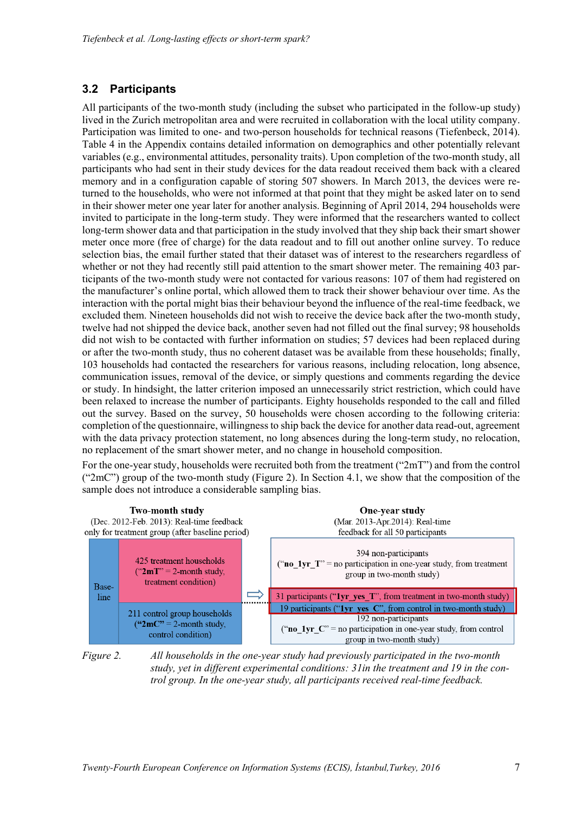## **3.2 Participants**

All participants of the two-month study (including the subset who participated in the follow-up study) lived in the Zurich metropolitan area and were recruited in collaboration with the local utility company. Participation was limited to one- and two-person households for technical reasons (Tiefenbeck, 2014). Table 4 in the Appendix contains detailed information on demographics and other potentially relevant variables (e.g., environmental attitudes, personality traits). Upon completion of the two-month study, all participants who had sent in their study devices for the data readout received them back with a cleared memory and in a configuration capable of storing 507 showers. In March 2013, the devices were returned to the households, who were not informed at that point that they might be asked later on to send in their shower meter one year later for another analysis. Beginning of April 2014, 294 households were invited to participate in the long-term study. They were informed that the researchers wanted to collect long-term shower data and that participation in the study involved that they ship back their smart shower meter once more (free of charge) for the data readout and to fill out another online survey. To reduce selection bias, the email further stated that their dataset was of interest to the researchers regardless of whether or not they had recently still paid attention to the smart shower meter. The remaining 403 participants of the two-month study were not contacted for various reasons: 107 of them had registered on the manufacturer's online portal, which allowed them to track their shower behaviour over time. As the interaction with the portal might bias their behaviour beyond the influence of the real-time feedback, we excluded them. Nineteen households did not wish to receive the device back after the two-month study, twelve had not shipped the device back, another seven had not filled out the final survey; 98 households did not wish to be contacted with further information on studies; 57 devices had been replaced during or after the two-month study, thus no coherent dataset was be available from these households; finally, 103 households had contacted the researchers for various reasons, including relocation, long absence, communication issues, removal of the device, or simply questions and comments regarding the device or study. In hindsight, the latter criterion imposed an unnecessarily strict restriction, which could have been relaxed to increase the number of participants. Eighty households responded to the call and filled out the survey. Based on the survey, 50 households were chosen according to the following criteria: completion of the questionnaire, willingness to ship back the device for another data read-out, agreement with the data privacy protection statement, no long absences during the long-term study, no relocation, no replacement of the smart shower meter, and no change in household composition.

For the one-year study, households were recruited both from the treatment ("2mT") and from the control ("2mC") group of the two-month study (Figure 2). In Section 4.1, we show that the composition of the sample does not introduce a considerable sampling bias.



*Figure 2. All households in the one-year study had previously participated in the two-month study, yet in different experimental conditions: 31in the treatment and 19 in the control group. In the one-year study, all participants received real-time feedback.*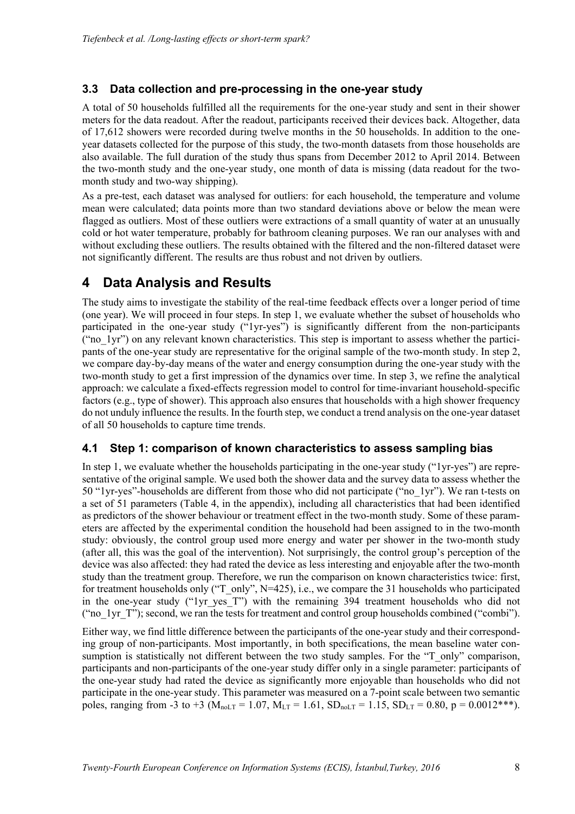## **3.3 Data collection and pre-processing in the one-year study**

A total of 50 households fulfilled all the requirements for the one-year study and sent in their shower meters for the data readout. After the readout, participants received their devices back. Altogether, data of 17,612 showers were recorded during twelve months in the 50 households. In addition to the oneyear datasets collected for the purpose of this study, the two-month datasets from those households are also available. The full duration of the study thus spans from December 2012 to April 2014. Between the two-month study and the one-year study, one month of data is missing (data readout for the twomonth study and two-way shipping).

As a pre-test, each dataset was analysed for outliers: for each household, the temperature and volume mean were calculated; data points more than two standard deviations above or below the mean were flagged as outliers. Most of these outliers were extractions of a small quantity of water at an unusually cold or hot water temperature, probably for bathroom cleaning purposes. We ran our analyses with and without excluding these outliers. The results obtained with the filtered and the non-filtered dataset were not significantly different. The results are thus robust and not driven by outliers.

## **4 Data Analysis and Results**

The study aims to investigate the stability of the real-time feedback effects over a longer period of time (one year). We will proceed in four steps. In step 1, we evaluate whether the subset of households who participated in the one-year study ("1yr-yes") is significantly different from the non-participants ("no\_1yr") on any relevant known characteristics. This step is important to assess whether the participants of the one-year study are representative for the original sample of the two-month study. In step 2, we compare day-by-day means of the water and energy consumption during the one-year study with the two-month study to get a first impression of the dynamics over time. In step 3, we refine the analytical approach: we calculate a fixed-effects regression model to control for time-invariant household-specific factors (e.g., type of shower). This approach also ensures that households with a high shower frequency do not unduly influence the results. In the fourth step, we conduct a trend analysis on the one-year dataset of all 50 households to capture time trends.

## **4.1 Step 1: comparison of known characteristics to assess sampling bias**

In step 1, we evaluate whether the households participating in the one-year study ("1yr-yes") are representative of the original sample. We used both the shower data and the survey data to assess whether the 50 "1yr-yes"-households are different from those who did not participate ("no\_1yr"). We ran t-tests on a set of 51 parameters (Table 4, in the appendix), including all characteristics that had been identified as predictors of the shower behaviour or treatment effect in the two-month study. Some of these parameters are affected by the experimental condition the household had been assigned to in the two-month study: obviously, the control group used more energy and water per shower in the two-month study (after all, this was the goal of the intervention). Not surprisingly, the control group's perception of the device was also affected: they had rated the device as less interesting and enjoyable after the two-month study than the treatment group. Therefore, we run the comparison on known characteristics twice: first, for treatment households only ("T\_only", N=425), i.e., we compare the 31 households who participated in the one-year study ("1yr yes T") with the remaining 394 treatment households who did not ("no\_1yr\_T"); second, we ran the tests for treatment and control group households combined ("combi").

Either way, we find little difference between the participants of the one-year study and their corresponding group of non-participants. Most importantly, in both specifications, the mean baseline water consumption is statistically not different between the two study samples. For the "T\_only" comparison, participants and non-participants of the one-year study differ only in a single parameter: participants of the one-year study had rated the device as significantly more enjoyable than households who did not participate in the one-year study. This parameter was measured on a 7-point scale between two semantic poles, ranging from -3 to +3 ( $M_{noLT} = 1.07$ ,  $M_{LT} = 1.61$ ,  $SD_{noLT} = 1.15$ ,  $SD_{LT} = 0.80$ ,  $p = 0.0012***$ ).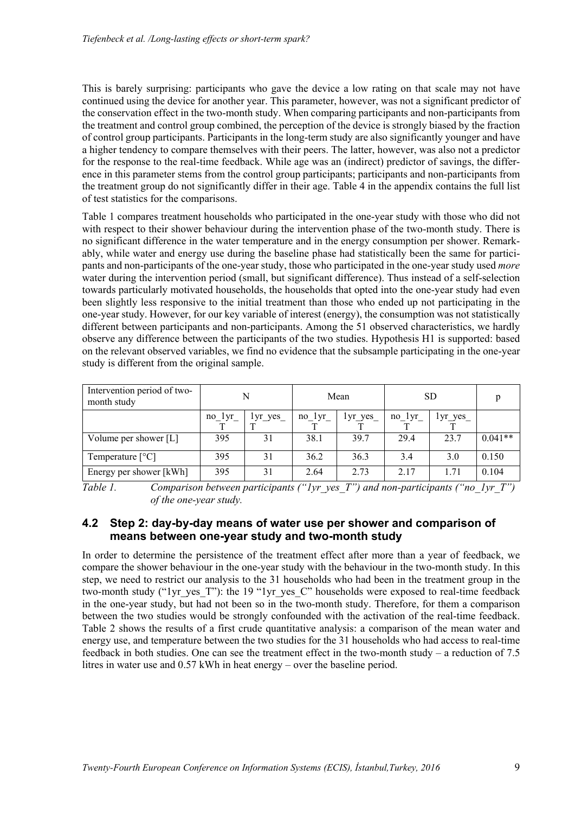This is barely surprising: participants who gave the device a low rating on that scale may not have continued using the device for another year. This parameter, however, was not a significant predictor of the conservation effect in the two-month study. When comparing participants and non-participants from the treatment and control group combined, the perception of the device is strongly biased by the fraction of control group participants. Participants in the long-term study are also significantly younger and have a higher tendency to compare themselves with their peers. The latter, however, was also not a predictor for the response to the real-time feedback. While age was an (indirect) predictor of savings, the difference in this parameter stems from the control group participants; participants and non-participants from the treatment group do not significantly differ in their age. Table 4 in the appendix contains the full list of test statistics for the comparisons.

Table 1 compares treatment households who participated in the one-year study with those who did not with respect to their shower behaviour during the intervention phase of the two-month study. There is no significant difference in the water temperature and in the energy consumption per shower. Remarkably, while water and energy use during the baseline phase had statistically been the same for participants and non-participants of the one-year study, those who participated in the one-year study used *more* water during the intervention period (small, but significant difference). Thus instead of a self-selection towards particularly motivated households, the households that opted into the one-year study had even been slightly less responsive to the initial treatment than those who ended up not participating in the one-year study. However, for our key variable of interest (energy), the consumption was not statistically different between participants and non-participants. Among the 51 observed characteristics, we hardly observe any difference between the participants of the two studies. Hypothesis H1 is supported: based on the relevant observed variables, we find no evidence that the subsample participating in the one-year study is different from the original sample.

| Intervention period of two-<br>month study | N      |         |          | Mean    | <b>SD</b>  |         |           |
|--------------------------------------------|--------|---------|----------|---------|------------|---------|-----------|
|                                            | no lyr | lyr yes | $no_1yr$ | lyr yes | $no_{lyr}$ | lyr yes |           |
| Volume per shower [L]                      | 395    | 31      | 38.1     | 39.7    | 29.4       | 23.7    | $0.041**$ |
| Temperature $[^{\circ}C]$                  | 395    | 31      | 36.2     | 36.3    | 3.4        | 3.0     | 0.150     |
| Energy per shower [kWh]                    | 395    | 31      | 2.64     | 2.73    | 2.17       | 1.71    | 0.104     |

*Table 1. Comparison between participants ("1yr\_yes\_T") and non-participants ("no\_1yr\_T") of the one-year study.* 

#### **4.2 Step 2: day-by-day means of water use per shower and comparison of means between one-year study and two-month study**

In order to determine the persistence of the treatment effect after more than a year of feedback, we compare the shower behaviour in the one-year study with the behaviour in the two-month study. In this step, we need to restrict our analysis to the 31 households who had been in the treatment group in the two-month study ("1yr\_yes\_T"): the 19 "1yr\_yes\_C" households were exposed to real-time feedback in the one-year study, but had not been so in the two-month study. Therefore, for them a comparison between the two studies would be strongly confounded with the activation of the real-time feedback. Table 2 shows the results of a first crude quantitative analysis: a comparison of the mean water and energy use, and temperature between the two studies for the 31 households who had access to real-time feedback in both studies. One can see the treatment effect in the two-month study – a reduction of 7.5 litres in water use and 0.57 kWh in heat energy – over the baseline period.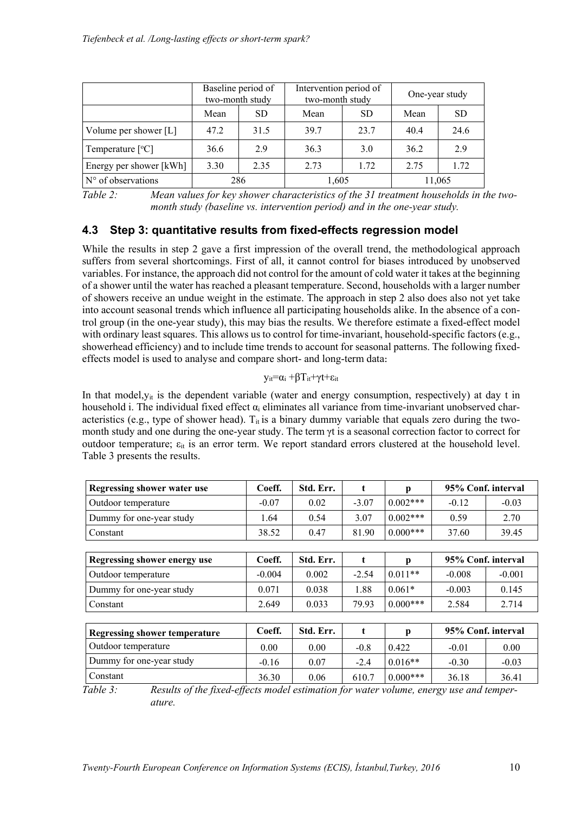|                         | Baseline period of<br>two-month study |           | Intervention period of<br>two-month study |           | One-year study |           |  |
|-------------------------|---------------------------------------|-----------|-------------------------------------------|-----------|----------------|-----------|--|
|                         | Mean                                  | <b>SD</b> | Mean                                      | <b>SD</b> | Mean           | <b>SD</b> |  |
| Volume per shower [L]   | 47.2                                  | 31.5      | 397                                       | 23.7      | 40.4           | 24.6      |  |
| Temperature $[°C]$      | 36.6                                  | 29        | 36.3                                      | 3.0       | 36.2           | 29        |  |
| Energy per shower [kWh] | 3.30                                  | 2.35      | 2.73                                      | 1.72      | 2.75           | 1.72      |  |
| $No$ of observations    | 286                                   |           | 1,605                                     |           | 11,065         |           |  |

*Table 2: Mean values for key shower characteristics of the 31 treatment households in the twomonth study (baseline vs. intervention period) and in the one-year study.* 

## **4.3 Step 3: quantitative results from fixed-effects regression model**

While the results in step 2 gave a first impression of the overall trend, the methodological approach suffers from several shortcomings. First of all, it cannot control for biases introduced by unobserved variables. For instance, the approach did not control for the amount of cold water it takes at the beginning of a shower until the water has reached a pleasant temperature. Second, households with a larger number of showers receive an undue weight in the estimate. The approach in step 2 also does also not yet take into account seasonal trends which influence all participating households alike. In the absence of a control group (in the one-year study), this may bias the results. We therefore estimate a fixed-effect model with ordinary least squares. This allows us to control for time-invariant, household-specific factors (e.g., showerhead efficiency) and to include time trends to account for seasonal patterns. The following fixedeffects model is used to analyse and compare short- and long-term data:

 $y_{it} = \alpha_i + \beta T_{it} + \gamma t + \epsilon_{it}$ 

In that model,  $y_{it}$  is the dependent variable (water and energy consumption, respectively) at day t in household i. The individual fixed effect  $\alpha_i$  eliminates all variance from time-invariant unobserved characteristics (e.g., type of shower head).  $T_{it}$  is a binary dummy variable that equals zero during the twomonth study and one during the one-year study. The term γt is a seasonal correction factor to correct for outdoor temperature;  $\varepsilon_{it}$  is an error term. We report standard errors clustered at the household level. Table 3 presents the results.

| <b>Regressing shower water use</b>   | Coeff.   | Std. Err. | t       | p           | 95% Conf. interval |          |
|--------------------------------------|----------|-----------|---------|-------------|--------------------|----------|
| Outdoor temperature                  | $-0.07$  | 0.02      | $-3.07$ | $0.002***$  | $-0.12$            | $-0.03$  |
| Dummy for one-year study             | 1.64     | 0.54      | 3.07    | $0.002***$  | 0.59               | 2.70     |
| Constant                             | 38.52    | 0.47      | 81.90   | $0.000$ *** | 37.60              | 39.45    |
|                                      |          |           |         |             |                    |          |
| <b>Regressing shower energy use</b>  | Coeff.   | Std. Err. | t       | р           | 95% Conf. interval |          |
| Outdoor temperature                  | $-0.004$ | 0.002     | $-2.54$ | $0.011**$   | $-0.008$           | $-0.001$ |
| Dummy for one-year study             | 0.071    | 0.038     | 1.88    | $0.061*$    | $-0.003$           | 0.145    |
| Constant                             | 2.649    | 0.033     | 79.93   | $0.000$ *** | 2.584              | 2.714    |
|                                      |          |           |         |             |                    |          |
| <b>Regressing shower temperature</b> | Coeff.   | Std. Err. | t       | р           | 95% Conf. interval |          |
| Outdoor temperature                  | 0.00     | 0.00      | $-0.8$  | 0.422       | $-0.01$            | 0.00     |
| Dummy for one-year study             | $-0.16$  | 0.07      | $-2.4$  | $0.016**$   | $-0.30$            | $-0.03$  |
| Constant                             | 36.30    | 0.06      | 610.7   | $0.000$ *** | 36.18              | 36.41    |

*Table 3: Results of the fixed-effects model estimation for water volume, energy use and temperature.*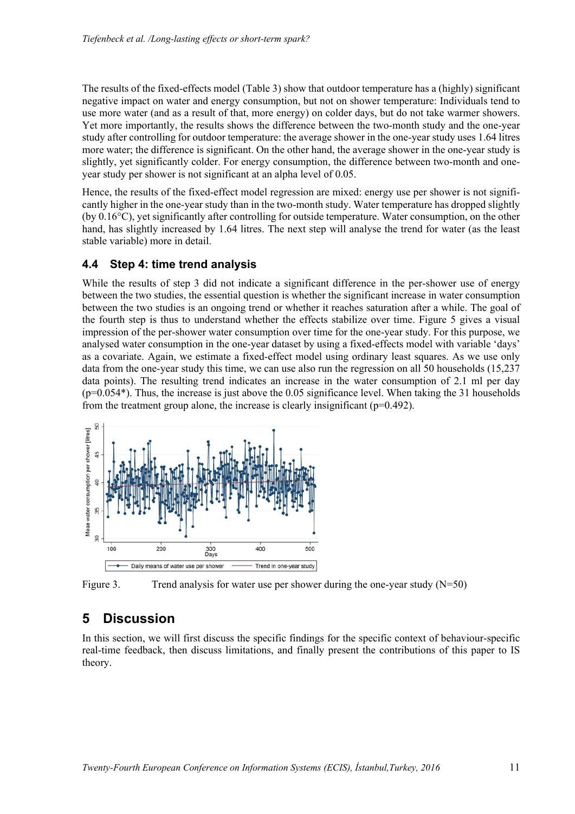The results of the fixed-effects model (Table 3) show that outdoor temperature has a (highly) significant negative impact on water and energy consumption, but not on shower temperature: Individuals tend to use more water (and as a result of that, more energy) on colder days, but do not take warmer showers. Yet more importantly, the results shows the difference between the two-month study and the one-year study after controlling for outdoor temperature: the average shower in the one-year study uses 1.64 litres more water; the difference is significant. On the other hand, the average shower in the one-year study is slightly, yet significantly colder. For energy consumption, the difference between two-month and oneyear study per shower is not significant at an alpha level of 0.05.

Hence, the results of the fixed-effect model regression are mixed: energy use per shower is not significantly higher in the one-year study than in the two-month study. Water temperature has dropped slightly (by 0.16°C), yet significantly after controlling for outside temperature. Water consumption, on the other hand, has slightly increased by 1.64 litres. The next step will analyse the trend for water (as the least stable variable) more in detail.

#### **4.4 Step 4: time trend analysis**

While the results of step 3 did not indicate a significant difference in the per-shower use of energy between the two studies, the essential question is whether the significant increase in water consumption between the two studies is an ongoing trend or whether it reaches saturation after a while. The goal of the fourth step is thus to understand whether the effects stabilize over time. Figure 5 gives a visual impression of the per-shower water consumption over time for the one-year study. For this purpose, we analysed water consumption in the one-year dataset by using a fixed-effects model with variable 'days' as a covariate. Again, we estimate a fixed-effect model using ordinary least squares. As we use only data from the one-year study this time, we can use also run the regression on all 50 households (15,237 data points). The resulting trend indicates an increase in the water consumption of 2.1 ml per day  $(p=0.054*)$ . Thus, the increase is just above the 0.05 significance level. When taking the 31 households from the treatment group alone, the increase is clearly insignificant (p=0.492).



Figure 3. Trend analysis for water use per shower during the one-year study  $(N=50)$ 

## **5 Discussion**

In this section, we will first discuss the specific findings for the specific context of behaviour-specific real-time feedback, then discuss limitations, and finally present the contributions of this paper to IS theory.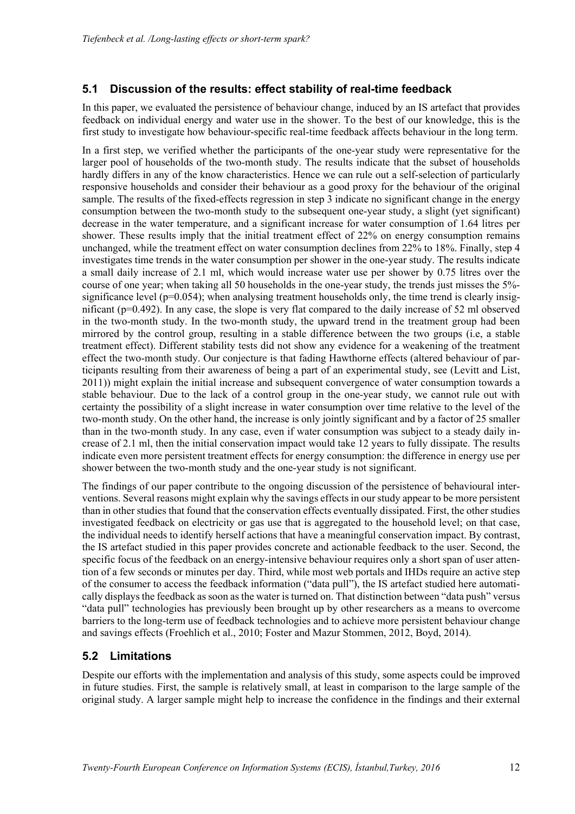### **5.1 Discussion of the results: effect stability of real-time feedback**

In this paper, we evaluated the persistence of behaviour change, induced by an IS artefact that provides feedback on individual energy and water use in the shower. To the best of our knowledge, this is the first study to investigate how behaviour-specific real-time feedback affects behaviour in the long term.

In a first step, we verified whether the participants of the one-year study were representative for the larger pool of households of the two-month study. The results indicate that the subset of households hardly differs in any of the know characteristics. Hence we can rule out a self-selection of particularly responsive households and consider their behaviour as a good proxy for the behaviour of the original sample. The results of the fixed-effects regression in step 3 indicate no significant change in the energy consumption between the two-month study to the subsequent one-year study, a slight (yet significant) decrease in the water temperature, and a significant increase for water consumption of 1.64 litres per shower. These results imply that the initial treatment effect of 22% on energy consumption remains unchanged, while the treatment effect on water consumption declines from 22% to 18%. Finally, step 4 investigates time trends in the water consumption per shower in the one-year study. The results indicate a small daily increase of 2.1 ml, which would increase water use per shower by 0.75 litres over the course of one year; when taking all 50 households in the one-year study, the trends just misses the 5% significance level ( $p=0.054$ ); when analysing treatment households only, the time trend is clearly insignificant (p=0.492). In any case, the slope is very flat compared to the daily increase of 52 ml observed in the two-month study. In the two-month study, the upward trend in the treatment group had been mirrored by the control group, resulting in a stable difference between the two groups (i.e, a stable treatment effect). Different stability tests did not show any evidence for a weakening of the treatment effect the two-month study. Our conjecture is that fading Hawthorne effects (altered behaviour of participants resulting from their awareness of being a part of an experimental study, see (Levitt and List, 2011)) might explain the initial increase and subsequent convergence of water consumption towards a stable behaviour. Due to the lack of a control group in the one-year study, we cannot rule out with certainty the possibility of a slight increase in water consumption over time relative to the level of the two-month study. On the other hand, the increase is only jointly significant and by a factor of 25 smaller than in the two-month study. In any case, even if water consumption was subject to a steady daily increase of 2.1 ml, then the initial conservation impact would take 12 years to fully dissipate. The results indicate even more persistent treatment effects for energy consumption: the difference in energy use per shower between the two-month study and the one-year study is not significant.

The findings of our paper contribute to the ongoing discussion of the persistence of behavioural interventions. Several reasons might explain why the savings effects in our study appear to be more persistent than in other studies that found that the conservation effects eventually dissipated. First, the other studies investigated feedback on electricity or gas use that is aggregated to the household level; on that case, the individual needs to identify herself actions that have a meaningful conservation impact. By contrast, the IS artefact studied in this paper provides concrete and actionable feedback to the user. Second, the specific focus of the feedback on an energy-intensive behaviour requires only a short span of user attention of a few seconds or minutes per day. Third, while most web portals and IHDs require an active step of the consumer to access the feedback information ("data pull"), the IS artefact studied here automatically displays the feedback as soon as the water is turned on. That distinction between "data push" versus "data pull" technologies has previously been brought up by other researchers as a means to overcome barriers to the long-term use of feedback technologies and to achieve more persistent behaviour change and savings effects (Froehlich et al., 2010; Foster and Mazur Stommen, 2012, Boyd, 2014).

#### **5.2 Limitations**

Despite our efforts with the implementation and analysis of this study, some aspects could be improved in future studies. First, the sample is relatively small, at least in comparison to the large sample of the original study. A larger sample might help to increase the confidence in the findings and their external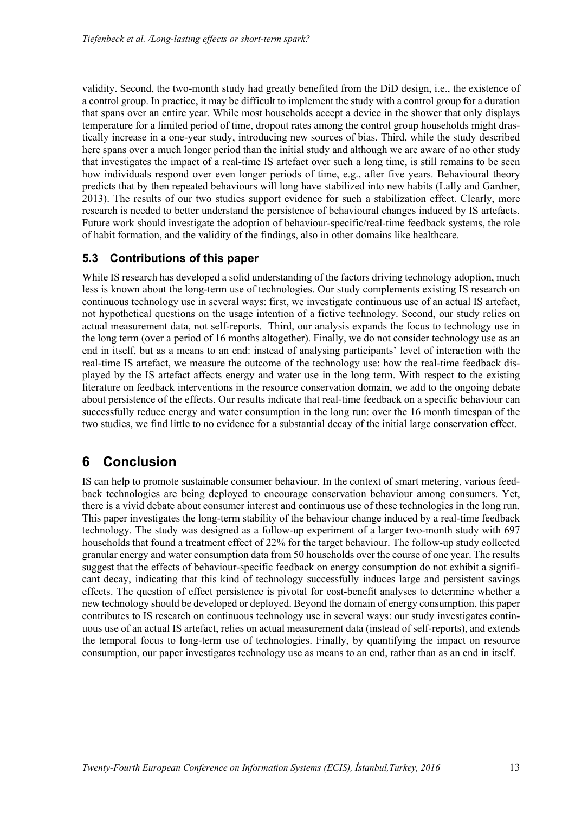validity. Second, the two-month study had greatly benefited from the DiD design, i.e., the existence of a control group. In practice, it may be difficult to implement the study with a control group for a duration that spans over an entire year. While most households accept a device in the shower that only displays temperature for a limited period of time, dropout rates among the control group households might drastically increase in a one-year study, introducing new sources of bias. Third, while the study described here spans over a much longer period than the initial study and although we are aware of no other study that investigates the impact of a real-time IS artefact over such a long time, is still remains to be seen how individuals respond over even longer periods of time, e.g., after five years. Behavioural theory predicts that by then repeated behaviours will long have stabilized into new habits (Lally and Gardner, 2013). The results of our two studies support evidence for such a stabilization effect. Clearly, more research is needed to better understand the persistence of behavioural changes induced by IS artefacts. Future work should investigate the adoption of behaviour-specific/real-time feedback systems, the role of habit formation, and the validity of the findings, also in other domains like healthcare.

### **5.3 Contributions of this paper**

While IS research has developed a solid understanding of the factors driving technology adoption, much less is known about the long-term use of technologies. Our study complements existing IS research on continuous technology use in several ways: first, we investigate continuous use of an actual IS artefact, not hypothetical questions on the usage intention of a fictive technology. Second, our study relies on actual measurement data, not self-reports. Third, our analysis expands the focus to technology use in the long term (over a period of 16 months altogether). Finally, we do not consider technology use as an end in itself, but as a means to an end: instead of analysing participants' level of interaction with the real-time IS artefact, we measure the outcome of the technology use: how the real-time feedback displayed by the IS artefact affects energy and water use in the long term. With respect to the existing literature on feedback interventions in the resource conservation domain, we add to the ongoing debate about persistence of the effects. Our results indicate that real-time feedback on a specific behaviour can successfully reduce energy and water consumption in the long run: over the 16 month timespan of the two studies, we find little to no evidence for a substantial decay of the initial large conservation effect.

## **6 Conclusion**

IS can help to promote sustainable consumer behaviour. In the context of smart metering, various feedback technologies are being deployed to encourage conservation behaviour among consumers. Yet, there is a vivid debate about consumer interest and continuous use of these technologies in the long run. This paper investigates the long-term stability of the behaviour change induced by a real-time feedback technology. The study was designed as a follow-up experiment of a larger two-month study with 697 households that found a treatment effect of 22% for the target behaviour. The follow-up study collected granular energy and water consumption data from 50 households over the course of one year. The results suggest that the effects of behaviour-specific feedback on energy consumption do not exhibit a significant decay, indicating that this kind of technology successfully induces large and persistent savings effects. The question of effect persistence is pivotal for cost-benefit analyses to determine whether a new technology should be developed or deployed. Beyond the domain of energy consumption, this paper contributes to IS research on continuous technology use in several ways: our study investigates continuous use of an actual IS artefact, relies on actual measurement data (instead of self-reports), and extends the temporal focus to long-term use of technologies. Finally, by quantifying the impact on resource consumption, our paper investigates technology use as means to an end, rather than as an end in itself.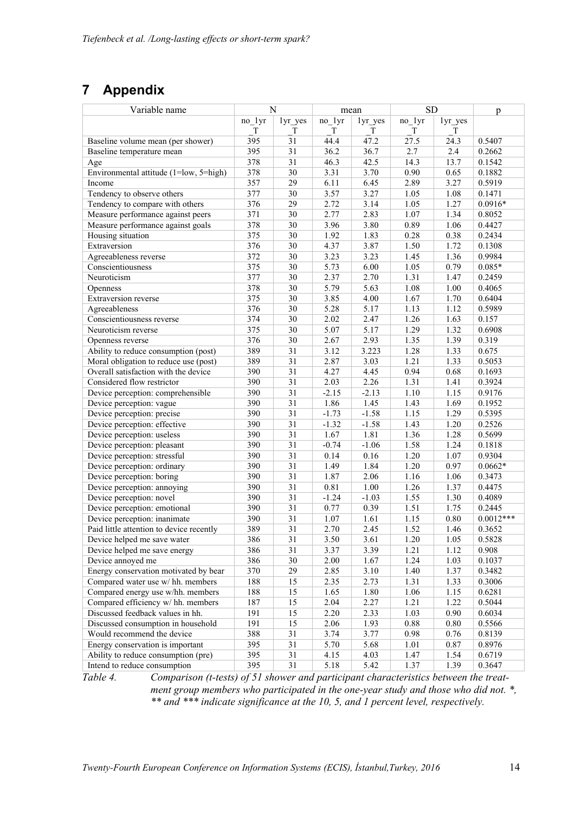# **7 Appendix**

| Variable name                            | N      |                 | mean     |         | <b>SD</b> |          | p           |
|------------------------------------------|--------|-----------------|----------|---------|-----------|----------|-------------|
|                                          | no 1yr | lyr_yes         | $no_1yr$ | lyr_yes | $no_1yr$  | lyr_yes  |             |
|                                          | T      | T               | T        | T       | T         | T        |             |
| Baseline volume mean (per shower)        | 395    | $\overline{31}$ | 44.4     | 47.2    | 27.5      | 24.3     | 0.5407      |
| Baseline temperature mean                | 395    | 31              | 36.2     | 36.7    | 2.7       | 2.4      | 0.2662      |
| Age                                      | 378    | $\overline{31}$ | 46.3     | 42.5    | 14.3      | 13.7     | 0.1542      |
| Environmental attitude (1=low, 5=high)   | 378    | $\overline{30}$ | 3.31     | 3.70    | 0.90      | 0.65     | 0.1882      |
| Income                                   | 357    | 29              | 6.11     | 6.45    | 2.89      | 3.27     | 0.5919      |
| Tendency to observe others               | 377    | $\overline{30}$ | 3.57     | 3.27    | 1.05      | 1.08     | 0.1471      |
| Tendency to compare with others          | 376    | 29              | 2.72     | 3.14    | 1.05      | 1.27     | $0.0916*$   |
| Measure performance against peers        | 371    | $\overline{30}$ | 2.77     | 2.83    | 1.07      | 1.34     | 0.8052      |
| Measure performance against goals        | 378    | $\overline{30}$ | 3.96     | 3.80    | 0.89      | 1.06     | 0.4427      |
| Housing situation                        | 375    | 30              | 1.92     | 1.83    | 0.28      | 0.38     | 0.2434      |
| Extraversion                             | 376    | 30              | 4.37     | 3.87    | 1.50      | 1.72     | 0.1308      |
| Agreeableness reverse                    | 372    | 30              | 3.23     | 3.23    | 1.45      | 1.36     | 0.9984      |
| Conscientiousness                        | 375    | 30              | 5.73     | 6.00    | 1.05      | 0.79     | $0.085*$    |
| Neuroticism                              | 377    | 30              | 2.37     | 2.70    | 1.31      | 1.47     | 0.2459      |
| Openness                                 | 378    | 30              | 5.79     | 5.63    | 1.08      | $1.00\,$ | 0.4065      |
| Extraversion reverse                     | 375    | 30              | 3.85     | 4.00    | 1.67      | 1.70     | 0.6404      |
| Agreeableness                            | 376    | 30              | 5.28     | 5.17    | 1.13      | 1.12     | 0.5989      |
| Conscientiousness reverse                | 374    | 30              | 2.02     | 2.47    | 1.26      | 1.63     | 0.157       |
| Neuroticism reverse                      | 375    | $\overline{30}$ | 5.07     | 5.17    | 1.29      | 1.32     | 0.6908      |
| Openness reverse                         | 376    | 30              | 2.67     | 2.93    | 1.35      | 1.39     | 0.319       |
| Ability to reduce consumption (post)     | 389    | $\overline{31}$ | 3.12     | 3.223   | 1.28      | 1.33     | 0.675       |
| Moral obligation to reduce use (post)    | 389    | $\overline{31}$ | 2.87     | 3.03    | 1.21      | 1.33     | 0.5053      |
| Overall satisfaction with the device     | 390    | $\overline{31}$ | 4.27     | 4.45    | 0.94      | 0.68     | 0.1693      |
| Considered flow restrictor               | 390    | $\overline{31}$ | 2.03     | 2.26    | 1.31      | 1.41     | 0.3924      |
| Device perception: comprehensible        | 390    | $\overline{31}$ | $-2.15$  | $-2.13$ | 1.10      | 1.15     | 0.9176      |
| Device perception: vague                 | 390    | $\overline{31}$ | 1.86     | 1.45    | 1.43      | 1.69     | 0.1952      |
| Device perception: precise               | 390    | 31              | $-1.73$  | $-1.58$ | 1.15      | 1.29     | 0.5395      |
| Device perception: effective             | 390    | 31              | $-1.32$  | $-1.58$ | 1.43      | 1.20     | 0.2526      |
| Device perception: useless               | 390    | 31              | 1.67     | 1.81    | 1.36      | 1.28     | 0.5699      |
| Device perception: pleasant              | 390    | 31              | $-0.74$  | $-1.06$ | 1.58      | 1.24     | 0.1818      |
| Device perception: stressful             | 390    | 31              | 0.14     | 0.16    | 1.20      | 1.07     | 0.9304      |
| Device perception: ordinary              | 390    | $\overline{31}$ | 1.49     | 1.84    | 1.20      | 0.97     | $0.0662*$   |
| Device perception: boring                | 390    | 31              | 1.87     | 2.06    | 1.16      | 1.06     | 0.3473      |
| Device perception: annoying              | 390    | $\overline{31}$ | 0.81     | 1.00    | 1.26      | 1.37     | 0.4475      |
| Device perception: novel                 | 390    | $\overline{31}$ | $-1.24$  | $-1.03$ | 1.55      | 1.30     | 0.4089      |
| Device perception: emotional             | 390    | $\overline{31}$ | 0.77     | 0.39    | 1.51      | 1.75     | 0.2445      |
| Device perception: inanimate             | 390    | $\overline{31}$ | 1.07     | 1.61    | 1.15      | 0.80     | $0.0012***$ |
| Paid little attention to device recently | 389    | $\overline{31}$ | 2.70     | 2.45    | 1.52      | 1.46     | 0.3652      |
| Device helped me save water              | 386    | 31              | 3.50     | 3.61    | 1.20      | 1.05     | 0.5828      |
| Device helped me save energy             | 386    | 31              | 3.37     | 3.39    | 1.21      | 1.12     | 0.908       |
| Device annoyed me                        | 386    | 30              | 2.00     | 1.67    | 1.24      | 1.03     | 0.1037      |
| Energy conservation motivated by bear    | 370    | 29              | 2.85     | 3.10    | 1.40      | 1.37     | 0.3482      |
| Compared water use w/ hh. members        | 188    | 15              | 2.35     | 2.73    | 1.31      | 1.33     | 0.3006      |
| Compared energy use w/hh. members        | 188    | 15              | 1.65     | 1.80    | 1.06      | 1.15     | 0.6281      |
| Compared efficiency w/ hh. members       | 187    | 15              | 2.04     | 2.27    | 1.21      | 1.22     | 0.5044      |
| Discussed feedback values in hh.         | 191    | 15              | 2.20     | 2.33    | 1.03      | 0.90     | 0.6034      |
| Discussed consumption in household       | 191    | 15              | 2.06     | 1.93    | 0.88      | 0.80     | 0.5566      |
| Would recommend the device               | 388    | 31              | 3.74     | 3.77    | 0.98      | 0.76     | 0.8139      |
| Energy conservation is important         | 395    | 31              | 5.70     | 5.68    | 1.01      | 0.87     | 0.8976      |
| Ability to reduce consumption (pre)      | 395    | 31              | 4.15     | 4.03    | 1.47      | 1.54     | 0.6719      |
| Intend to reduce consumption             | 395    | 31              | 5.18     | 5.42    | 1.37      | 1.39     | 0.3647      |

*Table 4. Comparison (t-tests) of 51 shower and participant characteristics between the treatment group members who participated in the one-year study and those who did not. \*, \*\* and \*\*\* indicate significance at the 10, 5, and 1 percent level, respectively.*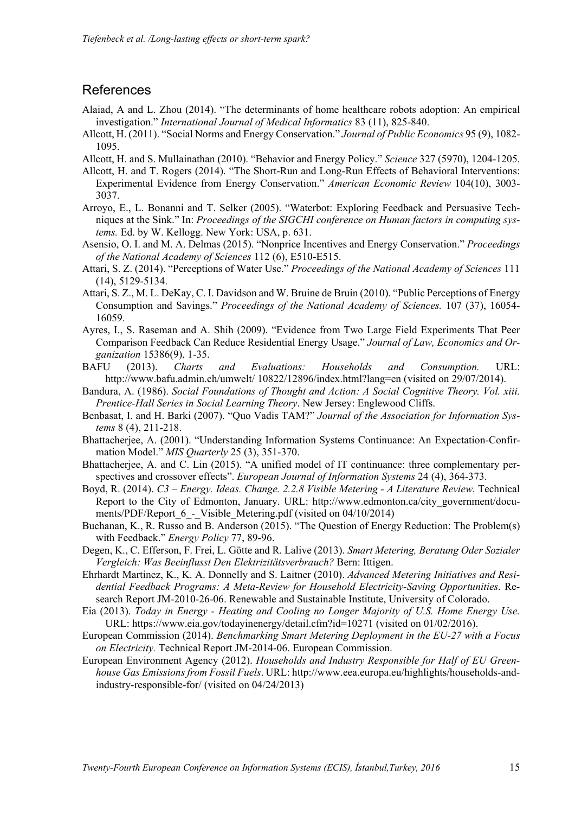### **References**

- Alaiad, A and L. Zhou (2014). "The determinants of home healthcare robots adoption: An empirical investigation." *International Journal of Medical Informatics* 83 (11), 825-840.
- Allcott, H. (2011). "Social Norms and Energy Conservation." *Journal of Public Economics* 95 (9), 1082- 1095.
- Allcott, H. and S. Mullainathan (2010). "Behavior and Energy Policy." *Science* 327 (5970), 1204-1205.
- Allcott, H. and T. Rogers (2014). "The Short-Run and Long-Run Effects of Behavioral Interventions: Experimental Evidence from Energy Conservation." *American Economic Review* 104(10), 3003- 3037.
- Arroyo, E., L. Bonanni and T. Selker (2005). "Waterbot: Exploring Feedback and Persuasive Techniques at the Sink." In: *Proceedings of the SIGCHI conference on Human factors in computing systems.* Ed. by W. Kellogg. New York: USA, p. 631.
- Asensio, O. I. and M. A. Delmas (2015). "Nonprice Incentives and Energy Conservation." *Proceedings of the National Academy of Sciences* 112 (6), E510-E515.
- Attari, S. Z. (2014). "Perceptions of Water Use." *Proceedings of the National Academy of Sciences* 111 (14), 5129-5134.
- Attari, S. Z., M. L. DeKay, C. I. Davidson and W. Bruine de Bruin (2010). "Public Perceptions of Energy Consumption and Savings." *Proceedings of the National Academy of Sciences.* 107 (37), 16054- 16059.
- Ayres, I., S. Raseman and A. Shih (2009). "Evidence from Two Large Field Experiments That Peer Comparison Feedback Can Reduce Residential Energy Usage." *Journal of Law, Economics and Organization* 15386(9), 1-35.
- BAFU (2013). *Charts and Evaluations: Households and Consumption.* URL: http://www.bafu.admin.ch/umwelt/ 10822/12896/index.html?lang=en (visited on 29/07/2014).
- Bandura, A. (1986). *Social Foundations of Thought and Action: A Social Cognitive Theory. Vol. xiii. Prentice-Hall Series in Social Learning Theory*. New Jersey: Englewood Cliffs.
- Benbasat, I. and H. Barki (2007). "Quo Vadis TAM?" *Journal of the Association for Information Systems* 8 (4), 211-218.
- Bhattacherjee, A. (2001). "Understanding Information Systems Continuance: An Expectation-Confirmation Model." *MIS Quarterly* 25 (3), 351-370.
- Bhattacherjee, A. and C. Lin (2015). "A unified model of IT continuance: three complementary perspectives and crossover effects". *European Journal of Information Systems* 24 (4), 364-373.
- Boyd, R. (2014). *C3 Energy. Ideas. Change. 2.2.8 Visible Metering A Literature Review.* Technical Report to the City of Edmonton, January. URL: http://www.edmonton.ca/city\_government/documents/PDF/Report 6 - Visible Metering.pdf (visited on 04/10/2014)
- Buchanan, K., R. Russo and B. Anderson (2015). "The Question of Energy Reduction: The Problem(s) with Feedback." *Energy Policy* 77, 89-96.
- Degen, K., C. Efferson, F. Frei, L. Götte and R. Lalive (2013). *Smart Metering, Beratung Oder Sozialer Vergleich: Was Beeinflusst Den Elektrizitätsverbrauch?* Bern: Ittigen.
- Ehrhardt Martinez, K., K. A. Donnelly and S. Laitner (2010). *Advanced Metering Initiatives and Residential Feedback Programs: A Meta-Review for Household Electricity-Saving Opportunities.* Research Report JM-2010-26-06. Renewable and Sustainable Institute, University of Colorado.
- Eia (2013). *Today in Energy Heating and Cooling no Longer Majority of U.S. Home Energy Use.* URL: https://www.eia.gov/todayinenergy/detail.cfm?id=10271 (visited on 01/02/2016).
- European Commission (2014). *Benchmarking Smart Metering Deployment in the EU-27 with a Focus on Electricity.* Technical Report JM-2014-06. European Commission.
- European Environment Agency (2012). *Households and Industry Responsible for Half of EU Greenhouse Gas Emissions from Fossil Fuels*. URL: http://www.eea.europa.eu/highlights/households-andindustry-responsible-for/ (visited on 04/24/2013)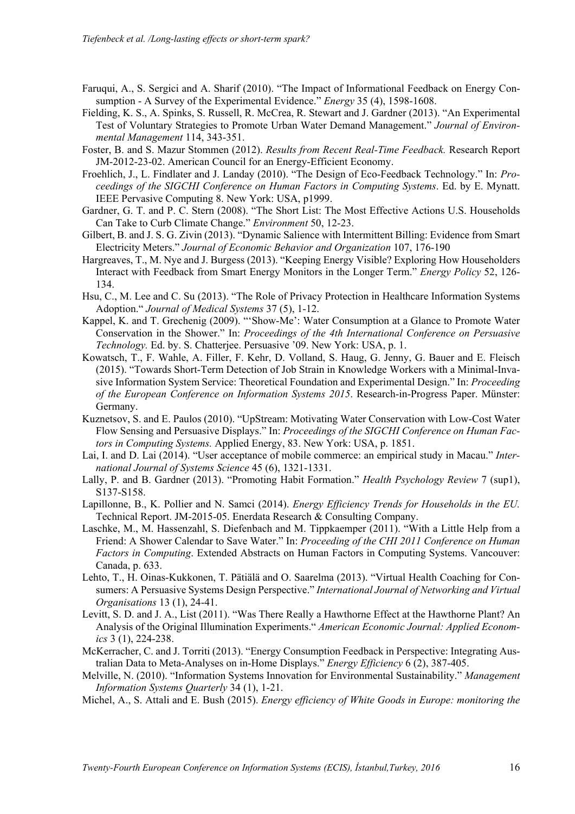- Faruqui, A., S. Sergici and A. Sharif (2010). "The Impact of Informational Feedback on Energy Consumption - A Survey of the Experimental Evidence." *Energy* 35 (4), 1598-1608.
- Fielding, K. S., A. Spinks, S. Russell, R. McCrea, R. Stewart and J. Gardner (2013). "An Experimental Test of Voluntary Strategies to Promote Urban Water Demand Management." *Journal of Environmental Management* 114, 343-351.
- Foster, B. and S. Mazur Stommen (2012). *Results from Recent Real-Time Feedback.* Research Report JM-2012-23-02. American Council for an Energy-Efficient Economy.
- Froehlich, J., L. Findlater and J. Landay (2010). "The Design of Eco-Feedback Technology." In: *Proceedings of the SIGCHI Conference on Human Factors in Computing Systems*. Ed. by E. Mynatt. IEEE Pervasive Computing 8. New York: USA, p1999.
- Gardner, G. T. and P. C. Stern (2008). "The Short List: The Most Effective Actions U.S. Households Can Take to Curb Climate Change." *Environment* 50, 12-23.
- Gilbert, B. and J. S. G. Zivin (2013). "Dynamic Salience with Intermittent Billing: Evidence from Smart Electricity Meters." *Journal of Economic Behavior and Organization* 107, 176-190
- Hargreaves, T., M. Nye and J. Burgess (2013). "Keeping Energy Visible? Exploring How Householders Interact with Feedback from Smart Energy Monitors in the Longer Term." *Energy Policy* 52, 126- 134.
- Hsu, C., M. Lee and C. Su (2013). "The Role of Privacy Protection in Healthcare Information Systems Adoption." *Journal of Medical Systems* 37 (5), 1-12.
- Kappel, K. and T. Grechenig (2009). "'Show-Me': Water Consumption at a Glance to Promote Water Conservation in the Shower." In: *Proceedings of the 4th International Conference on Persuasive Technology.* Ed. by. S. Chatterjee. Persuasive '09. New York: USA, p. 1.
- Kowatsch, T., F. Wahle, A. Filler, F. Kehr, D. Volland, S. Haug, G. Jenny, G. Bauer and E. Fleisch (2015). "Towards Short-Term Detection of Job Strain in Knowledge Workers with a Minimal-Invasive Information System Service: Theoretical Foundation and Experimental Design." In: *Proceeding of the European Conference on Information Systems 2015*. Research-in-Progress Paper. Münster: Germany.
- Kuznetsov, S. and E. Paulos (2010). "UpStream: Motivating Water Conservation with Low-Cost Water Flow Sensing and Persuasive Displays." In: *Proceedings of the SIGCHI Conference on Human Factors in Computing Systems.* Applied Energy, 83. New York: USA, p. 1851.
- Lai, I. and D. Lai (2014). "User acceptance of mobile commerce: an empirical study in Macau." *International Journal of Systems Science* 45 (6), 1321-1331.
- Lally, P. and B. Gardner (2013). "Promoting Habit Formation." *Health Psychology Review* 7 (sup1), S137-S158.
- Lapillonne, B., K. Pollier and N. Samci (2014). *Energy Efficiency Trends for Households in the EU.* Technical Report. JM-2015-05. Enerdata Research & Consulting Company.
- Laschke, M., M. Hassenzahl, S. Diefenbach and M. Tippkaemper (2011). "With a Little Help from a Friend: A Shower Calendar to Save Water." In: *Proceeding of the CHI 2011 Conference on Human Factors in Computing*. Extended Abstracts on Human Factors in Computing Systems. Vancouver: Canada, p. 633.
- Lehto, T., H. Oinas-Kukkonen, T. Pätiälä and O. Saarelma (2013). "Virtual Health Coaching for Consumers: A Persuasive Systems Design Perspective." *International Journal of Networking and Virtual Organisations* 13 (1), 24-41.
- Levitt, S. D. and J. A., List (2011). "Was There Really a Hawthorne Effect at the Hawthorne Plant? An Analysis of the Original Illumination Experiments." *American Economic Journal: Applied Economics* 3 (1), 224-238.
- McKerracher, C. and J. Torriti (2013). "Energy Consumption Feedback in Perspective: Integrating Australian Data to Meta-Analyses on in-Home Displays." *Energy Efficiency* 6 (2), 387-405.
- Melville, N. (2010). "Information Systems Innovation for Environmental Sustainability." *Management Information Systems Quarterly* 34 (1), 1-21.
- Michel, A., S. Attali and E. Bush (2015). *Energy efficiency of White Goods in Europe: monitoring the*